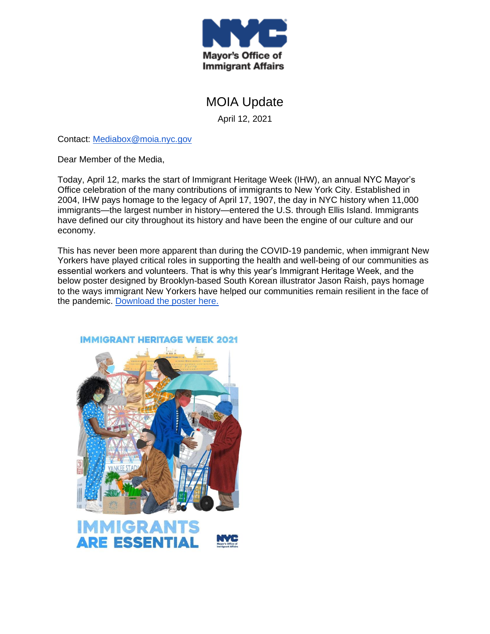

# MOIA Update

April 12, 2021

Contact: [Mediabox@moia.nyc.gov](mailto:Mediabox@moia.nyc.gov)

Dear Member of the Media,

Today, April 12, marks the start of Immigrant Heritage Week (IHW), an annual NYC Mayor's Office celebration of the many contributions of immigrants to New York City. Established in 2004, IHW pays homage to the legacy of April 17, 1907, the day in NYC history when 11,000 immigrants—the largest number in history—entered the U.S. through Ellis Island. Immigrants have defined our city throughout its history and have been the engine of our culture and our economy.

This has never been more apparent than during the COVID-19 pandemic, when immigrant New Yorkers have played critical roles in supporting the health and well-being of our communities as essential workers and volunteers. That is why this year's Immigrant Heritage Week, and the below poster designed by Brooklyn-based South Korean illustrator Jason Raish, pays homage to the ways immigrant New Yorkers have helped our communities remain resilient in the face of the pandemic. [Download the poster here.](https://drive.google.com/drive/folders/1jMmrcsFkmTCNXTi9GxShrs2RHIGHW7eA?usp=sharing)

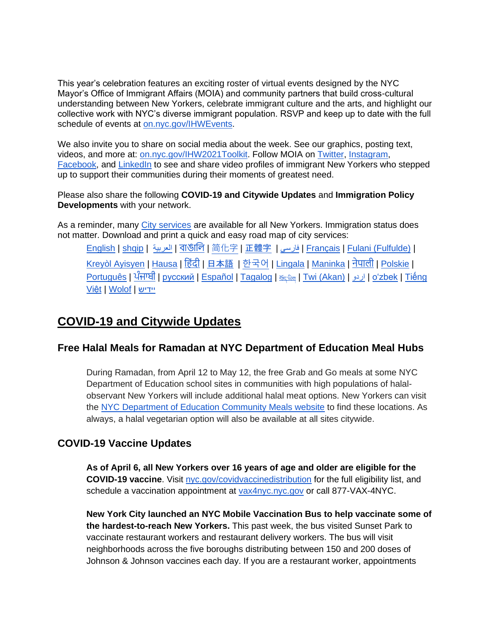This year's celebration features an exciting roster of virtual events designed by the NYC Mayor's Office of Immigrant Affairs (MOIA) and community partners that build cross-cultural understanding between New Yorkers, celebrate immigrant culture and the arts, and highlight our collective work with NYC's diverse immigrant population. RSVP and keep up to date with the full schedule of events at [on.nyc.gov/IHWEvents.](https://www.facebook.com/events/189900186058625/)

We also invite you to share on social media about the week. See our graphics, posting text, videos, and more at: [on.nyc.gov/IHW2021Toolkit.](http://on.nyc.gov/IHW2021Toolkit) Follow MOIA on [Twitter](https://twitter.com/NYCImmigrants)[,](https://www.instagram.com/nycimmigrants/) [Instagram](https://www.instagram.com/nycimmigrants/)[,](https://www.facebook.com/nycimmigrants) [Facebook,](https://www.facebook.com/nycimmigrants) and [LinkedIn](https://www.linkedin.com/company/nyc-mayor) to see and share video profiles of immigrant New Yorkers who stepped up to support their communities during their moments of greatest need.

Please also share the following **COVID-19 and Citywide Updates** and **Immigration Policy Developments** with your network.

As a reminder, many [City services](https://www1.nyc.gov/site/immigrants/help/city-services.page) are available for all New Yorkers. Immigration status does not matter. Download and print a quick and easy road map of city services:

[English](https://www1.nyc.gov/assets/immigrants/downloads/pdf/moia-one-pager-4-english.pdf) | [shqip](https://www1.nyc.gov/assets/immigrants/downloads/pdf/moia-one-pager-4-albanian.pdf) | [العربية](https://www1.nyc.gov/assets/immigrants/downloads/pdf/moia-one-pager-4-arabic.pdf) | [বাঙালি](https://www1.nyc.gov/assets/immigrants/downloads/pdf/moia-one-pager-4-bengali.pdf) | [简化字](https://www1.nyc.gov/assets/immigrants/downloads/pdf/moia-one-pager-4-simplified-chinese.pdf) | [正體字](https://www1.nyc.gov/assets/immigrants/downloads/pdf/moia-one-pager-4-traditional-chinese.pdf) | [فارسی](https://www1.nyc.gov/assets/immigrants/downloads/pdf/moia-one-pager-4-farsi.pdf) | [Français](https://www1.nyc.gov/assets/immigrants/downloads/pdf/moia-one-pager-4-french.pdf) | [Fulani \(Fulfulde\)](https://www1.nyc.gov/assets/immigrants/downloads/pdf/moia-one-pager-4-fulani.pdf) | [Kreyòl Ayisyen](https://www1.nyc.gov/assets/immigrants/downloads/pdf/moia-one-pager-4-haitian-creole.pdf) | [Hausa](https://www1.nyc.gov/assets/immigrants/downloads/pdf/moia-one-pager-4-hausa.pdf) | [ह िंदी](https://www1.nyc.gov/assets/immigrants/downloads/pdf/moia-one-pager-4-hindi.pdf) | [日本語](https://www1.nyc.gov/assets/immigrants/downloads/pdf/moia-one-pager-4-japanese.pdf) | [한국어](https://www1.nyc.gov/assets/immigrants/downloads/pdf/moia-one-pager-4-korean.pdf) | [Lingala](https://www1.nyc.gov/assets/immigrants/downloads/pdf/moia-one-pager-4-lingala.pdf) | [Maninka](https://www1.nyc.gov/assets/immigrants/downloads/pdf/moia-one-pager-4-malinke.pdf) | [नेपाली](https://www1.nyc.gov/assets/immigrants/downloads/pdf/moia-one-pager-4-nepali.pdf) | [Polskie](https://www1.nyc.gov/assets/immigrants/downloads/pdf/moia-one-pager-4-polish.pdf) | <u>[Português](https://www1.nyc.gov/assets/immigrants/downloads/pdf/moia-one-pager-4-portuguese.pdf) | [ਪੰਜਾਬੀ](https://www1.nyc.gov/assets/immigrants/downloads/pdf/moia-one-pager-4-punjabi.pdf) | [русский](https://www1.nyc.gov/assets/immigrants/downloads/pdf/moia-one-pager-4-russian.pdf) | [Español](https://www1.nyc.gov/assets/immigrants/downloads/pdf/moia-one-pager-4-spanish.pdf) | [Tagalog](https://www1.nyc.gov/assets/immigrants/downloads/pdf/moia-one-pager-4-tagalog.pdf) | क्ष्क्ष्ख | [Twi \(Akan\)](https://www1.nyc.gov/assets/immigrants/downloads/pdf/moia-one-pager-4-twi.pdf) | [اردو](https://www1.nyc.gov/assets/immigrants/downloads/pdf/moia-one-pager-4-urdu.pdf) | [oʻzbek](https://www1.nyc.gov/assets/immigrants/downloads/pdf/moia-one-pager-4-uzbek.pdf) | Tiếng</u> [Việt](https://www1.nyc.gov/assets/immigrants/downloads/pdf/moia-one-pager-4-vietnamese.pdf) | [Wolof](https://www1.nyc.gov/assets/immigrants/downloads/pdf/moia-one-pager-4-wolof.pdf) | [יידיש](https://www1.nyc.gov/assets/immigrants/downloads/pdf/moia-one-pager-4-yiddish.pdf)

# **COVID-19 and Citywide Updates**

### **Free Halal Meals for Ramadan at NYC Department of Education Meal Hubs**

During Ramadan, from April 12 to May 12, the free Grab and Go meals at some NYC Department of Education school sites in communities with high populations of halalobservant New Yorkers will include additional halal meat options. New Yorkers can visit the [NYC Department of Education Community Meals website](https://www.schools.nyc.gov/school-life/food/community-meals) to find these locations. As always, a halal vegetarian option will also be available at all sites citywide.

### **COVID-19 Vaccine Updates**

**As of April 6, all New Yorkers over 16 years of age and older are eligible for the COVID-19 vaccine**. Visit [nyc.gov/covidvaccinedistribution](http://nyc.gov/covidvaccinedistribution) for the full eligibility list, and schedule a vaccination appointment at [vax4nyc.nyc.gov](http://vax4nyc.nyc.gov/) or call 877-VAX-4NYC.

**New York City launched an NYC Mobile Vaccination Bus to help vaccinate some of the hardest-to-reach New Yorkers.** This past week, the bus visited Sunset Park to vaccinate restaurant workers and restaurant delivery workers. The bus will visit neighborhoods across the five boroughs distributing between 150 and 200 doses of Johnson & Johnson vaccines each day. If you are a restaurant worker, appointments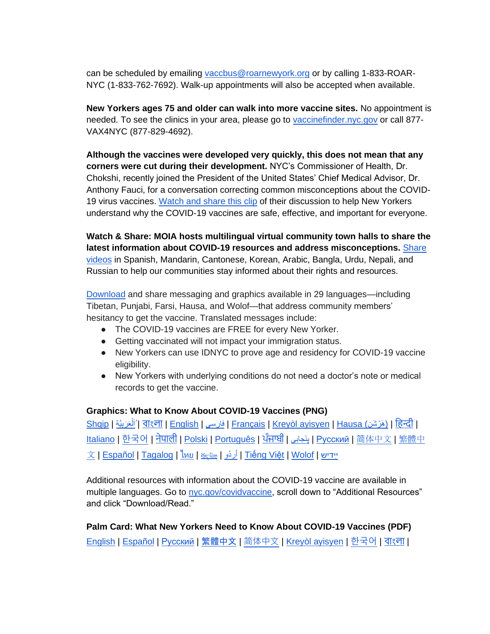can be scheduled by emailing [vaccbus@roarnewyork.org](mailto:vaccbus@roarnewyork.org) or by calling 1-833-ROAR-NYC (1-833-762-7692). Walk-up appointments will also be accepted when available.

**New Yorkers ages 75 and older can walk into more vaccine sites.** No appointment is needed. To see the clinics in your area, please go to [vaccinefinder.nyc.gov](https://vaccinefinder.nyc.gov/) or call 877- VAX4NYC (877-829-4692).

**Although the vaccines were developed very quickly, this does not mean that any corners were cut during their development.** NYC's Commissioner of Health, Dr. Chokshi, recently joined the President of the United States' Chief Medical Advisor, Dr. Anthony Fauci, for a conversation correcting common misconceptions about the COVID-19 virus vaccines. [Watch and share this clip](https://www.instagram.com/p/CMTCMmpDVwo/?igshid=4y2nmnn70osj) of their discussion to help New Yorkers understand why the COVID-19 vaccines are safe, effective, and important for everyone.

**Watch & Share: MOIA hosts multilingual virtual community town halls to share the latest information about COVID-19 resources and address misconceptions.** [Share](https://www.facebook.com/watch/118622031512497/781851152683964)  [videos](https://www.facebook.com/watch/118622031512497/781851152683964) in Spanish, Mandarin, Cantonese, Korean, Arabic, Bangla, Urdu, Nepali, and Russian to help our communities stay informed about their rights and resources.

[Download](https://drive.google.com/drive/folders/1rHGg-IL0smzJiaKomA2YBoJuklfGmRGt?usp=sharing) and share messaging and graphics available in 29 languages—including Tibetan, Punjabi, Farsi, Hausa, and Wolof—that address community members' hesitancy to get the vaccine. Translated messages include:

- The COVID-19 vaccines are FREE for every New Yorker.
- Getting vaccinated will not impact your immigration status.
- New Yorkers can use IDNYC to prove age and residency for COVID-19 vaccine eligibility.
- New Yorkers with underlying conditions do not need a doctor's note or medical records to get the vaccine.

#### **Graphics: What to Know About COVID-19 Vaccines (PNG)**

<u>[Shqip](https://drive.google.com/drive/folders/1fCQIuGi5uvwxxGW-0I-xg_myqO6NoZjd?usp=sharing) | هَرْشَن | বাংলা | [English](https://drive.google.com/drive/folders/1e-Yfz7VanL9br_pPGDFebYKY8PPmbviZ?usp=sharing) | [فارسی](https://drive.google.com/drive/folders/1-8XN5UgmpkVpSsaNq7NyZDai4dmWg0pW?usp=sharing) | [Français](https://drive.google.com/drive/folders/1-AUQtfOET2Wagv9_oGNqrbdikozNm46B?usp=sharing) | [Kreyòl ayisyen](https://drive.google.com/drive/folders/1VAYB3Rd4A7bYQXKPbK7ZltcyHpOHrA5Y?usp=sharing) | [Hausa](https://drive.google.com/drive/folders/1-JAIm8SliycIUqTPbNz1DqnnUGhC_TpN?usp=sharing) (اَلْعَرَبِيَّة | Shqip</u> ĺ [Italiano](https://drive.google.com/drive/folders/1-RNU4rfaSwrRayZGiYQIhPib2ZHLCbc5?usp=sharing) | [한국어](https://drive.google.com/drive/folders/1-TRzJL-o5lcoHnO9j3tEFxXUjDNWS0y4?usp=sharing) | [नेपाली](https://drive.google.com/drive/folders/1-UVJrqXDBom89BxZtryKMe-3pLtPovze?usp=sharing) | [Polski](https://drive.google.com/drive/folders/1-WmX3joVNfrtXd7am2KUhK53vUQ5EiIx?usp=sharing) | <u>Português | [ਪੰਜਾਬੀ](https://drive.google.com/drive/folders/1-YpCrzZQYk4fB_UO8w4pshRKOGIWddpe?usp=sharing) | پنجابی | [Русский](https://drive.google.com/drive/folders/1-qn9Uy6K31aJLClRxvNomnXTNiIk7GIy?usp=sharing)</u> | [简](https://drive.google.com/drive/folders/1-yMyJ8JYfj_ze3Zx2KzhtyNh3OWs7Oi7?usp=sharing)[体中文](https://drive.google.com/drive/folders/1-yMyJ8JYfj_ze3Zx2KzhtyNh3OWs7Oi7?usp=sharing) | <u>[繁體中](https://drive.google.com/drive/folders/10OrEH0bnTMIlbBlUCnHbsSkF9Lgd9-Q8?usp=sharing)</u> [文](https://drive.google.com/drive/folders/10OrEH0bnTMIlbBlUCnHbsSkF9Lgd9-Q8?usp=sharing) | <u>Español | [Tagalog](https://drive.google.com/drive/folders/14Mv2HbzkaY10iXJCfMMXnpmWdtKjvzsN?usp=sharing) | <sup>"</sup>เทย | خر[د](https://drive.google.com/drive/folders/10Xw2XzGvyQeYlIbp1Ej51hm6ego2J4PU?usp=sharing)ُو | [Tiếng Việt](https://drive.google.com/drive/folders/1z15tmks8YkP02U4l98zetJFaW_Nr-j-_?usp=sharing) | [Wolof](https://drive.google.com/drive/folders/10aKjhmv_nRKZ-TBz5EgU7-laRA7uqaFr?usp=sharing) | ייִדיש</u> |

Additional resources with information about the COVID-19 vaccine are available in multiple languages. Go to [nyc.gov/covidvaccine,](http://nyc.gov/covidvaccine) scroll down to "Additional Resources" and click "Download/Read."

**Palm Card: What New Yorkers Need to Know About COVID-19 Vaccines (PDF)** <u>[English](https://www1.nyc.gov/assets/doh/downloads/pdf/covid/covid-19-vaccines-faq-palm-card.pdf) | [Español](https://www1.nyc.gov/assets/doh/downloads/pdf/covid/covid-19-vaccines-faq-palm-card-sp.pdf) | [Русский](https://www1.nyc.gov/assets/doh/downloads/pdf/covid/covid-19-vaccines-faq-palm-card-ru.pdf)</u> | [繁體中文](https://www1.nyc.gov/assets/doh/downloads/pdf/covid/covid-19-vaccines-faq-palm-card-ch.pdf) | [简体中文](https://www1.nyc.gov/assets/doh/downloads/pdf/covid/covid-19-vaccines-faq-palm-card-sc.pdf) | [Kreyòl ayisyen](https://www1.nyc.gov/assets/doh/downloads/pdf/covid/covid-19-vaccines-faq-palm-card-cr.pdf) | [한국어](https://www1.nyc.gov/assets/doh/downloads/pdf/covid/covid-19-vaccines-faq-palm-card-ko.pdf) | <u>বাংলা</u> |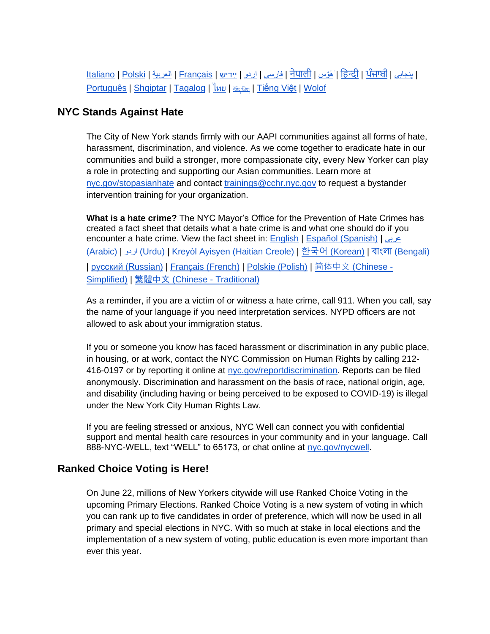<u>[Italiano](https://www1.nyc.gov/assets/doh/downloads/pdf/covid/covid-19-vaccines-faq-palm-card-it.pdf) | [Polski](https://www1.nyc.gov/assets/doh/downloads/pdf/covid/covid-19-vaccines-faq-palm-card-po.pdf) | [العربية](https://www1.nyc.gov/assets/doh/downloads/pdf/covid/covid-19-vaccines-faq-palm-card-ar.pdf) | मिपाली | مَوْس | [नेपाली](https://www1.nyc.gov/assets/doh/downloads/pdf/covid/covid-19-vaccines-faq-palm-card-ne.pdf) | انجابی | हिन्दी | [ਪੰਜਾਬੀ](https://www1.nyc.gov/assets/doh/downloads/pdf/covid/covid-19-vaccines-faq-palm-card-pbi.pdf) |</u> [Português](https://www1.nyc.gov/assets/doh/downloads/pdf/covid/covid-19-vaccines-faq-palm-card-pt.pdf) | [Shqiptar](https://www1.nyc.gov/assets/doh/downloads/pdf/covid/covid-19-vaccines-faq-palm-card-al.pdf) | [Tagalog](https://www1.nyc.gov/assets/doh/downloads/pdf/covid/covid-19-vaccines-faq-palm-card-tg.pdf) | [ไทย](https://www1.nyc.gov/assets/doh/downloads/pdf/covid/covid-19-vaccines-faq-palm-card-th.pdf) | ซะซิต | [Tiếng Việt](https://www1.nyc.gov/assets/doh/downloads/pdf/covid/covid-19-vaccines-faq-palm-card-vi.pdf) | [Wolof](https://www1.nyc.gov/assets/doh/downloads/pdf/covid/covid-19-vaccines-faq-palm-card-wo.pdf)

#### **NYC Stands Against Hate**

The City of New York stands firmly with our AAPI communities against all forms of hate, harassment, discrimination, and violence. As we come together to eradicate hate in our communities and build a stronger, more compassionate city, every New Yorker can play a role in protecting and supporting our Asian communities. Learn more at [nyc.gov/stopasianhate](http://nyc.gov/stopasianhate) and contact [trainings@cchr.nyc.gov](mailto:trainings@cchr.nyc.gov) to request a bystander intervention training for your organization.

**What is a hate crime?** The NYC Mayor's Office for the Prevention of Hate Crimes has created a fact sheet that details what a hate crime is and what one should do if you encounter a hate crime. View the fact sheet in: [English](https://www1.nyc.gov/assets/cchr/downloads/pdf/materials/OPHC_WhatIsAHateCrime_FINAL.pdf) | [Español \(Spanish\)](https://www1.nyc.gov/assets/cchr/downloads/pdf/materials/what-is-a-hate-crime_Spanish.pdf) | [عربى](https://www1.nyc.gov/assets/cchr/downloads/pdf/materials/what-is-a-hate-crime_Arabic.pdf) [\(Arabic\)](https://www1.nyc.gov/assets/cchr/downloads/pdf/materials/what-is-a-hate-crime_Arabic.pdf) | اردو ([Urdu\)](https://www1.nyc.gov/assets/cchr/downloads/pdf/materials/what-is-a-hate-crime_Urdu.pdf) | [Kreyòl Ayisyen \(Haitian Creole\)](https://www1.nyc.gov/assets/cchr/downloads/pdf/materials/what-is-a-hate-crime_Haitian-Creole.pdf) | [한국어](https://www1.nyc.gov/assets/cchr/downloads/pdf/materials/what-is-a-hate-crime_Korean.pdf) [\(Korean\)](https://www1.nyc.gov/assets/cchr/downloads/pdf/materials/what-is-a-hate-crime_Korean.pdf) | বাংলা [\(Bengali\)](https://www1.nyc.gov/assets/cchr/downloads/pdf/materials/what-is-a-hate-crime_Bengali.pdf) | [русский \(Russian\)](https://www1.nyc.gov/assets/cchr/downloads/pdf/materials/what-is-a-hate-crime_Russian.pdf) | [Français \(French\)](https://www1.nyc.gov/assets/cchr/downloads/pdf/materials/what-is-a-hate-crime_French.pdf) | [Polskie \(Polish\)](https://www1.nyc.gov/assets/cchr/downloads/pdf/materials/what-is-a-hate-crime_Polish.pdf) | [简体中文](https://www1.nyc.gov/assets/cchr/downloads/pdf/materials/what-is-a-hate-crime_Simplified-Chinese.pdf) [\(Chinese -](https://www1.nyc.gov/assets/cchr/downloads/pdf/materials/what-is-a-hate-crime_Simplified-Chinese.pdf) [Simplified\)](https://www1.nyc.gov/assets/cchr/downloads/pdf/materials/what-is-a-hate-crime_Simplified-Chinese.pdf) | [繁體中文](https://www1.nyc.gov/assets/cchr/downloads/pdf/materials/what-is-a-hate-crime_Traditional-Chinese.pdf) (Chinese - [Traditional\)](https://www1.nyc.gov/assets/cchr/downloads/pdf/materials/what-is-a-hate-crime_Traditional-Chinese.pdf)

As a reminder, if you are a victim of or witness a hate crime, call 911. When you call, say the name of your language if you need interpretation services. NYPD officers are not allowed to ask about your immigration status.

If you or someone you know has faced harassment or discrimination in any public place, in housing, or at work, contact the NYC Commission on Human Rights by calling 212- 416-0197 or by reporting it online at [nyc.gov/reportdiscrimination.](http://nyc.gov/reportdiscrimination) Reports can be filed anonymously. Discrimination and harassment on the basis of race, national origin, age, and disability (including having or being perceived to be exposed to COVID-19) is illegal under the New York City Human Rights Law.

If you are feeling stressed or anxious, NYC Well can connect you with confidential support and mental health care resources in your community and in your language. Call 888-NYC-WELL, text "WELL" to 65173, or chat online at [nyc.gov/nycwell.](http://nyc.gov/nycwell)

#### **Ranked Choice Voting is Here!**

On June 22, millions of New Yorkers citywide will use Ranked Choice Voting in the upcoming Primary Elections. Ranked Choice Voting is a new system of voting in which you can rank up to five candidates in order of preference, which will now be used in all primary and special elections in NYC. With so much at stake in local elections and the implementation of a new system of voting, public education is even more important than ever this year.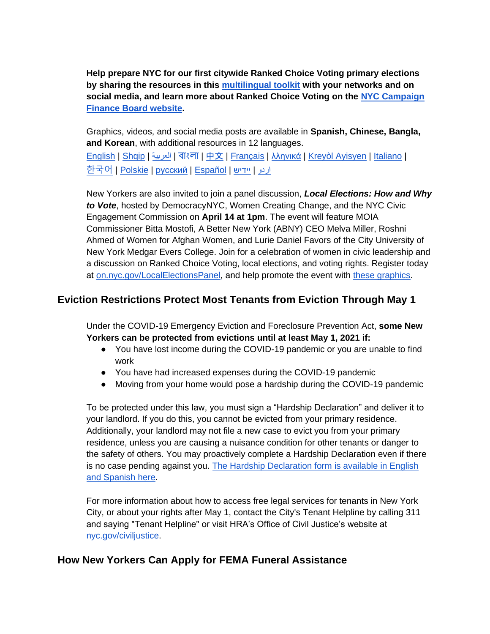**Help prepare NYC for our first citywide Ranked Choice Voting primary elections by sharing the resources in this [multilingual toolkit](https://docs.google.com/document/d/1D3MiV73hXFBoeGeDJCtg0tawZID9angGDoebUumlnFs/edit?usp=sharing) with your networks and on social media, and learn more about Ranked Choice Voting on the [NYC Campaign](http://www.nyccfb.info/nyc-votes/ranked-choice-voting/)  [Finance Board website.](http://www.nyccfb.info/nyc-votes/ranked-choice-voting/)**

Graphics, videos, and social media posts are available in **Spanish, Chinese, Bangla, and Korean**, with additional resources in 12 languages. <u>[English](http://www.nyccfb.info/nyc-votes/ranked-choice-voting/) | [Shqip](http://www.nyccfb.info/nyc-votes/ranked-choice-voting/albanian/) | [العربية](http://www.nyccfb.info/nyc-votes/ranked-choice-voting/arabic/) | বাংলা | [中文](http://www.nyccfb.info/nyc-votes/ranked-choice-voting/chinese/) | [Français](http://www.nyccfb.info/nyc-votes/ranked-choice-voting/french/) | [λληνικά](http://www.nyccfb.info/nyc-votes/ranked-choice-voting/greek/) | [Kreyòl Ayisyen](http://www.nyccfb.info/nyc-votes/ranked-choice-voting/haitian-creole/) | [Italiano](http://www.nyccfb.info/nyc-votes/ranked-choice-voting/italian/) |</u>

[한국어](http://www.nyccfb.info/nyc-votes/ranked-choice-voting/korean/) | <u>Polskie | [русский](http://www.nyccfb.info/nyc-votes/ranked-choice-voting/russian/) | [Español](http://www.nyccfb.info/nyc-votes/ranked-choice-voting/spanish/) | יردو | [יידיש](http://www.nyccfb.info/nyc-votes/ranked-choice-voting/yiddish/)</u>

New Yorkers are also invited to join a panel discussion, *Local Elections: How and Why to Vote*, hosted by DemocracyNYC, Women Creating Change, and the NYC Civic Engagement Commission on **April 14 at 1pm**. The event will feature MOIA Commissioner Bitta Mostofi, A Better New York (ABNY) CEO Melva Miller, Roshni Ahmed of Women for Afghan Women, and Lurie Daniel Favors of the City University of New York Medgar Evers College. Join for a celebration of women in civic leadership and a discussion on Ranked Choice Voting, local elections, and voting rights. Register today at [on.nyc.gov/LocalElectionsPanel,](http://on.nyc.gov/LocalElectionsPanel) and help promote the event with [these graphics.](https://www.dropbox.com/sh/pm2uu9ul4e836ni/AAAChQQSUev723K9D451wM3ia?dl=0)

# **Eviction Restrictions Protect Most Tenants from Eviction Through May 1**

Under the COVID-19 Emergency Eviction and Foreclosure Prevention Act, **some New Yorkers can be protected from evictions until at least May 1, 2021 if:**

- You have lost income during the COVID-19 pandemic or you are unable to find work
- You have had increased expenses during the COVID-19 pandemic
- Moving from your home would pose a hardship during the COVID-19 pandemic

To be protected under this law, you must sign a "Hardship Declaration" and deliver it to your landlord. If you do this, you cannot be evicted from your primary residence. Additionally, your landlord may not file a new case to evict you from your primary residence, unless you are causing a nuisance condition for other tenants or danger to the safety of others. You may proactively complete a Hardship Declaration even if there is no case pending against you. [The Hardship Declaration form is available in English](http://nycourts.gov/covid-eefpa.shtml)  [and Spanish here.](http://nycourts.gov/covid-eefpa.shtml)

For more information about how to access free legal services for tenants in New York City, or about your rights after May 1, contact the City's Tenant Helpline by calling 311 and saying "Tenant Helpline" or visit HRA's Office of Civil Justice's website at [nyc.gov/civiljustice.](http://www.nyc.gov/civiljustice)

# **How New Yorkers Can Apply for FEMA Funeral Assistance**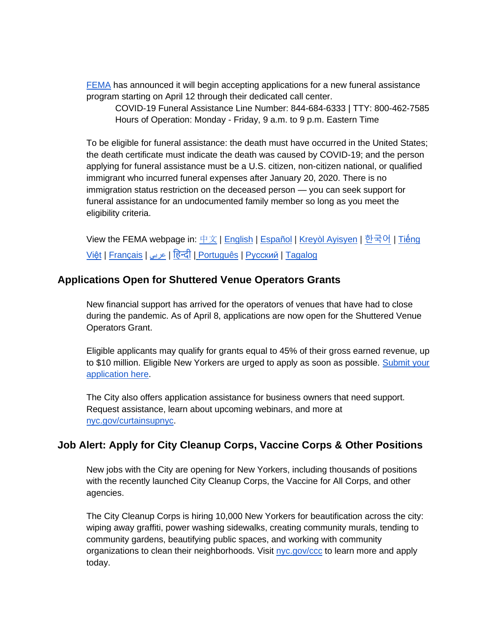[FEMA](https://www.fema.gov/disasters/coronavirus/economic/funeral-assistance) has announced it will begin accepting applications for a new funeral assistance program starting on April 12 through their dedicated call center.

COVID-19 Funeral Assistance Line Number: 844-684-6333 | TTY: 800-462-7585 Hours of Operation: Monday - Friday, 9 a.m. to 9 p.m. Eastern Time

To be eligible for funeral assistance: the death must have occurred in the United States; the death certificate must indicate the death was caused by COVID-19; and the person applying for funeral assistance must be a U.S. citizen, non-citizen national, or qualified immigrant who incurred funeral expenses after January 20, 2020. There is no immigration status restriction on the deceased person — you can seek support for funeral assistance for an undocumented family member so long as you meet the eligibility criteria.

View the FEMA webpage in: <u>[中文](https://www.fema.gov/zh-hans/disasters/coronavirus/economic/funeral-assistance) | [English](https://www.fema.gov/disasters/coronavirus/economic/funeral-assistance) | [Español](https://www.fema.gov/es/disasters/coronavirus/funeral-assistance) | [Kreyòl Ayisyen](https://www.fema.gov/ht/disasters/coronavirus/economic/funeral-assistance)</u> | [한국어](https://www.fema.gov/ko/disasters/coronavirus/economic/funeral-assistance) | <u>Tiếng</u> [Việt](https://www.fema.gov/vi/disasters/coronavirus/economic/funeral-assistance) | [Français](https://www.fema.gov/fr/disasters/coronavirus/economic/funeral-assistance) | [عربي](https://www.fema.gov/ar/disasters/coronavirus/economic/funeral-assistance) [|](https://www.fema.gov/hi/disasters/coronavirus/economic/funeral-assistance) [ह न्दी](https://www.fema.gov/hi/disasters/coronavirus/economic/funeral-assistance) [|](https://www.fema.gov/pt-br/disasters/coronavirus/economic/funeral-assistance) [Português](https://www.fema.gov/pt-br/disasters/coronavirus/economic/funeral-assistance) | [Pусский](https://www.fema.gov/ru/disasters/coronavirus/economic/funeral-assistance) | [Tagal](https://edit.fema.gov/tl/disasters/coronavirus/economic/funeral-assistance)[o](https://www.fema.gov/tl/disasters/coronavirus/economic/funeral-assistance)[g](https://edit.fema.gov/tl/disasters/coronavirus/economic/funeral-assistance)

#### **Applications Open for Shuttered Venue Operators Grants**

New financial support has arrived for the operators of venues that have had to close during the pandemic. As of April 8, applications are now open for the Shuttered Venue Operators Grant.

Eligible applicants may qualify for grants equal to 45% of their gross earned revenue, up to \$10 million. Eligible New Yorkers are urged to apply as soon as possible. [Submit your](http://svograntportal.sba.gov/s/)  [application here.](http://svograntportal.sba.gov/s/)

The City also offers application assistance for business owners that need support. Request assistance, learn about upcoming webinars, and more a[t](http://nyc.gov/curtainsupnyc) [nyc.gov/curtainsupnyc.](http://nyc.gov/curtainsupnyc)

### **Job Alert: Apply for City Cleanup Corps, Vaccine Corps & Other Positions**

New jobs with the City are opening for New Yorkers, including thousands of positions with the recently launched City Cleanup Corps, the Vaccine for All Corps, and other agencies.

The City Cleanup Corps is hiring 10,000 New Yorkers for beautification across the city: wiping away graffiti, power washing sidewalks, creating community murals, tending to community gardens, beautifying public spaces, and working with community organizations to clean their neighborhoods. Visit [nyc.gov/ccc](http://nyc.gov/ccc) to learn more and apply today.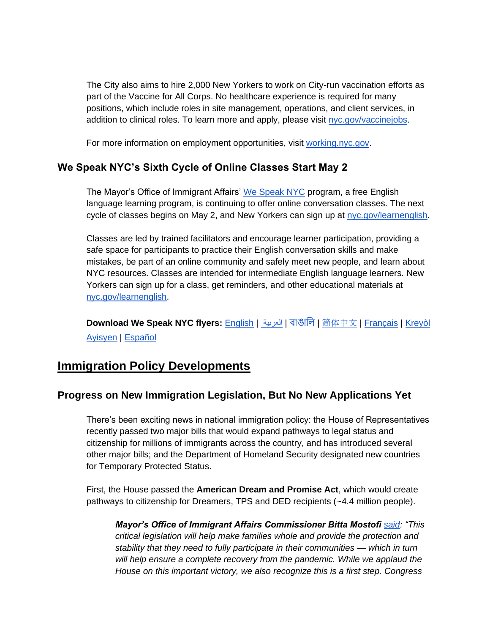The City also aims to hire 2,000 New Yorkers to work on City-run vaccination efforts as part of the Vaccine for All Corps. No healthcare experience is required for many positions, which include roles in site management, operations, and client services, in addition to clinical roles. To learn more and apply, please visit [nyc.gov/vaccinejobs.](http://nyc.gov/vaccinejobs)

For more information on employment opportunities, visit [working.nyc.gov.](https://working.nyc.gov/)

## **We Speak NYC's Sixth Cycle of Online Classes Start May 2**

The Mayor's Office of Immigrant Affairs' [We Speak NYC](http://nyc.gov/learnenglish) program, a free English language learning program, is continuing to offer online conversation classes. The next cycle of classes begins on May 2, and New Yorkers can sign up at [nyc.gov/learnenglish.](https://wespeaknyc.cityofnewyork.us/wsnyc-online-classes/)

Classes are led by trained facilitators and encourage learner participation, providing a safe space for participants to practice their English conversation skills and make mistakes, be part of an online community and safely meet new people, and learn about NYC resources. Classes are intended for intermediate English language learners. New Yorkers can sign up for a class, get reminders, and other educational materials at [nyc.gov/learnenglish.](http://nyc.gov/learnenglish)

**Download We Speak NYC flyers:** [English](https://drive.google.com/file/d/1JuZUFlTwamp5szwBUqmXAgoOUtaEbczv/view?usp=sharing) | [العربية](https://drive.google.com/file/d/1AKDjL_tAlq-OuiVyh9HpFncXcFfRPIfS/view?usp=sharing) | [বাঙালি](https://drive.google.com/file/d/1bcFkjH3-OmOKVPZlg89hf04-Up4KXdki/view?usp=sharing) | [简](https://drive.google.com/file/d/1icUVZZW4mSwYcTkUshAISoQ5MaUtrFEu/view?usp=sharing)[体中文](https://drive.google.com/file/d/1icUVZZW4mSwYcTkUshAISoQ5MaUtrFEu/view?usp=sharing) | [Français](https://drive.google.com/file/d/1Q8QsaEAWw99Erl2NNQ3ZBrJuL7muB-Qe/view?usp=sharing) | [Kreyòl](https://drive.google.com/file/d/1xgAkW7dI0r3lmOfIJE7TBTOeU8KZGdjW/view?usp=sharing)  [Ayisyen](https://drive.google.com/file/d/1xgAkW7dI0r3lmOfIJE7TBTOeU8KZGdjW/view?usp=sharing) | [Español](https://drive.google.com/file/d/18OXo34e9CTCuZfCF79k4sgg7UGTNfJti/view?usp=sharing) 

# **Immigration Policy Developments**

### **Progress on New Immigration Legislation, But No New Applications Yet**

There's been exciting news in national immigration policy: the House of Representatives recently passed two major bills that would expand pathways to legal status and citizenship for millions of immigrants across the country, and has introduced several other major bills; and the Department of Homeland Security designated new countries for Temporary Protected Status.

First, the House passed the **American Dream and Promise Act**, which would create pathways to citizenship for Dreamers, TPS and DED recipients (~4.4 million people).

*Mayor's Office of Immigrant Affairs Commissioner Bitta Mostofi [said:](https://www1.nyc.gov/site/immigrants/about/press-releases/20210319-statement-from-commissioner-bitta-mostofi.page) "This critical legislation will help make families whole and provide the protection and stability that they need to fully participate in their communities — which in turn*  will help ensure a complete recovery from the pandemic. While we applaud the *House on this important victory, we also recognize this is a first step. Congress*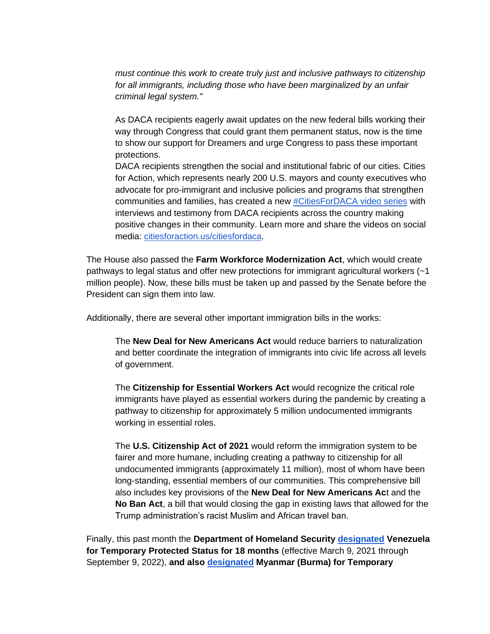*must continue this work to create truly just and inclusive pathways to citizenship for all immigrants, including those who have been marginalized by an unfair criminal legal system."*

As DACA recipients eagerly await updates on the new federal bills working their way through Congress that could grant them permanent status, now is the time to show our support for Dreamers and urge Congress to pass these important protections.

DACA recipients strengthen the social and institutional fabric of our cities. Cities for Action, which represents nearly 200 U.S. mayors and county executives who advocate for pro-immigrant and inclusive policies and programs that strengthen communities and families, has created a new [#CitiesForDACA video series](https://www.youtube.com/channel/UCGOhu6ldBqJSIb7gY97sV4g/playlists) with interviews and testimony from DACA recipients across the country making positive changes in their community. Learn more and share the videos on social media: [citiesforaction.us/citiesfordaca.](https://www.citiesforaction.us/citiesfordaca)

The House also passed the **Farm Workforce Modernization Act**, which would create pathways to legal status and offer new protections for immigrant agricultural workers (~1 million people). Now, these bills must be taken up and passed by the Senate before the President can sign them into law.

Additionally, there are several other important immigration bills in the works:

The **New Deal for New Americans Act** would reduce barriers to naturalization and better coordinate the integration of immigrants into civic life across all levels of government.

The **Citizenship for Essential Workers Act** would recognize the critical role immigrants have played as essential workers during the pandemic by creating a pathway to citizenship for approximately 5 million undocumented immigrants working in essential roles.

The **U.S. Citizenship Act of 2021** would reform the immigration system to be fairer and more humane, including creating a pathway to citizenship for all undocumented immigrants (approximately 11 million), most of whom have been long-standing, essential members of our communities. This comprehensive bill also includes key provisions of the **New Deal for New Americans Ac**t and the **No Ban Act**, a bill that would closing the gap in existing laws that allowed for the Trump administration's racist Muslim and African travel ban.

Finally, this past month the **Department of Homeland Security [designated](https://www.dhs.gov/news/2021/03/08/secretary-mayorkas-designates-venezuela-temporary-protected-status-18-months) Venezuela for Temporary Protected Status for 18 months** (effective March 9, 2021 through September 9, 2022), **and also [designated](https://www.dhs.gov/news/2021/03/12/secretary-mayorkas-designates-burma-temporary-protected-status) Myanmar (Burma) for Temporary**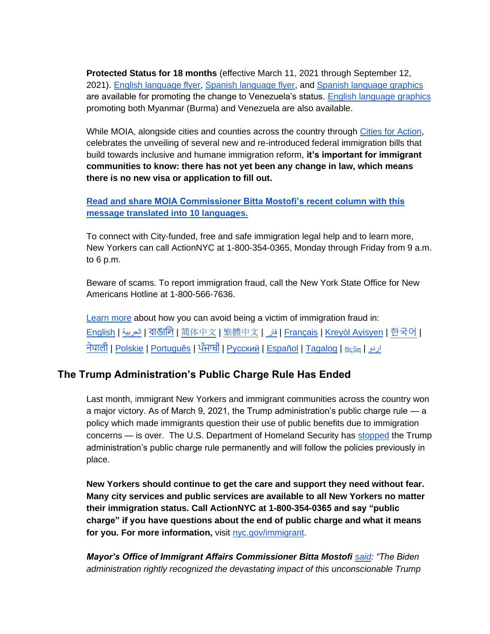**Protected Status for 18 months** (effective March 11, 2021 through September 12, 2021). [English language flyer,](https://www1.nyc.gov/assets/immigrants/downloads/pdf/venezuela_tps.pdf) [Spanish language flyer,](https://www1.nyc.gov/assets/immigrants/downloads/pdf/venezuela_tps_spanish.pdf) and [Spanish language graphics](https://drive.google.com/drive/folders/1rc2Whr7EVx73b-P4UylIScewr5jFwUvB?usp=sharing) are available for promoting the change to Venezuela's status. [English language graphics](https://drive.google.com/drive/folders/1H8yGau-icKdacyuszP855J7OSjPGYxGI?usp=sharing) promoting both Myanmar (Burma) and Venezuela are also available.

While MOIA, alongside cities and counties across the country through [Cities for Action,](https://www.citiesforaction.us/vision) celebrates the unveiling of several new and re-introduced federal immigration bills that build towards inclusive and humane immigration reform, **it's important for immigrant communities to know: there has not yet been any change in law, which means there is no new visa or application to fill out.** 

**Read and [share MOIA Commissioner Bitta Mostofi's recent column with this](https://nycimmigrants.medium.com/positive-immigration-developments-but-no-new-immigration-programs-to-apply-for-yet-c663692bbb4c)  [message translated into 10 languages.](https://nycimmigrants.medium.com/positive-immigration-developments-but-no-new-immigration-programs-to-apply-for-yet-c663692bbb4c)** 

To connect with City-funded, free and safe immigration legal help and to learn more, New Yorkers can call ActionNYC at 1-800-354-0365, Monday through Friday from 9 a.m. to 6 p.m.

Beware of scams. To report immigration fraud, call the New York State Office for New Americans Hotline at 1-800-566-7636.

[Learn more](https://www1.nyc.gov/site/immigrants/help/legal-services/avoid-fraud.page) about how you can avoid being a victim of immigration fraud in: [English](https://www1.nyc.gov/assets/immigrants/downloads/pdf/fraud-flyer.pdf) | [العربية](https://www1.nyc.gov/assets/immigrants/downloads/pdf/Fraud-Flyer-Arabic.pdf) | [বাঙালি](https://www1.nyc.gov/assets/immigrants/downloads/pdf/Fraud-Flyer-Bengali.pdf) | [简](https://www1.nyc.gov/assets/immigrants/downloads/pdf/Fraud-Flyer-Chinese-Simplified.pdf)[体中文](https://www1.nyc.gov/assets/immigrants/downloads/pdf/Fraud-Flyer-Chinese-Simplified.pdf) | [繁體中文](https://www1.nyc.gov/assets/immigrants/downloads/pdf/Fraud-Flyer-Chinese-Traditional.pdf) | [فار](https://www1.nyc.gov/assets/immigrants/downloads/pdf/Fraud-Flyer-Farsi.pdf) | [Français](https://www1.nyc.gov/assets/immigrants/downloads/pdf/Fraud-Flyer-French.pdf) | [Kreyòl Ayisyen](https://www1.nyc.gov/assets/immigrants/downloads/pdf/Fraud-Flyer-Haitian-Creole.pdf) | [한국어](https://www1.nyc.gov/assets/immigrants/downloads/pdf/Fraud-Flyer-Korean.pdf) | <u>[नेपाली](https://www1.nyc.gov/assets/immigrants/downloads/pdf/Fraud-Flyer-Nepali.pdf) | [Polskie](https://www1.nyc.gov/assets/immigrants/downloads/pdf/Fraud-Flyer-Polish.pdf) | [Português](https://www1.nyc.gov/assets/immigrants/downloads/pdf/Fraud-Flyer-Portuguese.pdf) | [ਪੰਜਾਬੀ](https://www1.nyc.gov/assets/immigrants/downloads/pdf/Fraud-Flyer-Punjabi.pdf) | Русский | [Español](https://www1.nyc.gov/assets/immigrants/downloads/pdf/Fraud-Flyer-Spanish.pdf) | [Tagalog](https://www1.nyc.gov/assets/immigrants/downloads/pdf/Fraud-Flyer-Tagalog.pdf) | ﷺ [اردو](https://www1.nyc.gov/assets/immigrants/downloads/pdf/Fraud-Flyer-Urdu.pdf)</u>

# **The Trump Administration's Public Charge Rule Has Ended**

Last month, immigrant New Yorkers and immigrant communities across the country won a major victory. As of March 9, 2021, the Trump administration's public charge rule — a policy which made immigrants question their use of public benefits due to immigration concerns — is over. The U.S. Department of Homeland Security has [stopped](https://public-inspection.federalregister.gov/2021-05357.pdf) the Trump administration's public charge rule permanently and will follow the policies previously in place.

**New Yorkers should continue to get the care and support they need without fear. Many city services and public services are available to all New Yorkers no matter their immigration status. Call ActionNYC at 1-800-354-0365 and say "public charge" if you have questions about the end of public charge and what it means for you. For more information,** visit [nyc.gov/immigrant.](https://www1.nyc.gov/site/immigrants/help/legal-services/public-charge.page)

*Mayor's Office of Immigrant Affairs Commissioner Bitta Mostofi [said:](https://www1.nyc.gov/office-of-the-mayor/news/174-21/statements-mayor-de-blasio-officials-end-trump-administration-s-public-charge-rule) "The Biden administration rightly recognized the devastating impact of this unconscionable Trump*